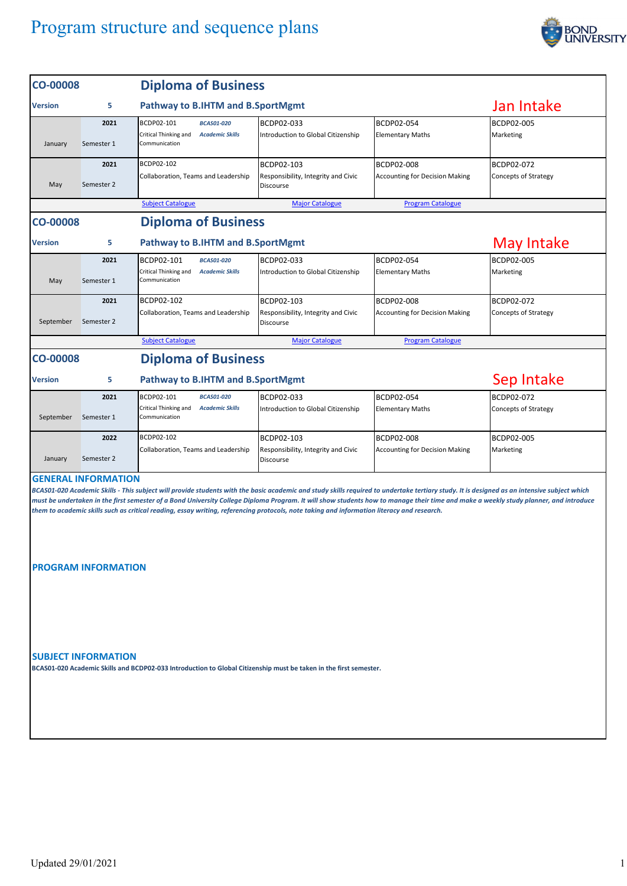

| <b>CO-00008</b>                                                                                                                                                                                                                                                                                                                                                                                                                                                                                                                                                                               |                    | <b>Diploma of Business</b>                                                                          |                                                                       |                                                            |                                    |  |  |  |
|-----------------------------------------------------------------------------------------------------------------------------------------------------------------------------------------------------------------------------------------------------------------------------------------------------------------------------------------------------------------------------------------------------------------------------------------------------------------------------------------------------------------------------------------------------------------------------------------------|--------------------|-----------------------------------------------------------------------------------------------------|-----------------------------------------------------------------------|------------------------------------------------------------|------------------------------------|--|--|--|
| <b>Version</b>                                                                                                                                                                                                                                                                                                                                                                                                                                                                                                                                                                                | 5                  | Pathway to B.IHTM and B.SportMgmt                                                                   | Jan Intake                                                            |                                                            |                                    |  |  |  |
| January                                                                                                                                                                                                                                                                                                                                                                                                                                                                                                                                                                                       | 2021<br>Semester 1 | BCDP02-101<br><b>BCAS01-020</b><br>Critical Thinking and<br><b>Academic Skills</b><br>Communication | BCDP02-033<br>Introduction to Global Citizenship                      | BCDP02-054<br><b>Elementary Maths</b>                      | <b>BCDP02-005</b><br>Marketing     |  |  |  |
| May                                                                                                                                                                                                                                                                                                                                                                                                                                                                                                                                                                                           | 2021<br>Semester 2 | BCDP02-102<br>Collaboration, Teams and Leadership                                                   | BCDP02-103<br>Responsibility, Integrity and Civic<br><b>Discourse</b> | <b>BCDP02-008</b><br><b>Accounting for Decision Making</b> | BCDP02-072<br>Concepts of Strategy |  |  |  |
|                                                                                                                                                                                                                                                                                                                                                                                                                                                                                                                                                                                               |                    | <b>Subject Catalogue</b>                                                                            | <b>Major Catalogue</b>                                                | <b>Program Catalogue</b>                                   |                                    |  |  |  |
| <b>CO-00008</b>                                                                                                                                                                                                                                                                                                                                                                                                                                                                                                                                                                               |                    | <b>Diploma of Business</b>                                                                          |                                                                       |                                                            |                                    |  |  |  |
| <b>Version</b>                                                                                                                                                                                                                                                                                                                                                                                                                                                                                                                                                                                | 5                  | Pathway to B.IHTM and B.SportMgmt                                                                   |                                                                       | May Intake                                                 |                                    |  |  |  |
| May                                                                                                                                                                                                                                                                                                                                                                                                                                                                                                                                                                                           | 2021<br>Semester 1 | BCDP02-101<br><b>BCAS01-020</b><br>Critical Thinking and<br><b>Academic Skills</b><br>Communication | BCDP02-033<br>Introduction to Global Citizenship                      | BCDP02-054<br><b>Elementary Maths</b>                      | BCDP02-005<br>Marketing            |  |  |  |
| September                                                                                                                                                                                                                                                                                                                                                                                                                                                                                                                                                                                     | 2021<br>Semester 2 | BCDP02-102<br>Collaboration, Teams and Leadership                                                   | BCDP02-103<br>Responsibility, Integrity and Civic<br><b>Discourse</b> | <b>BCDP02-008</b><br><b>Accounting for Decision Making</b> | BCDP02-072<br>Concepts of Strategy |  |  |  |
|                                                                                                                                                                                                                                                                                                                                                                                                                                                                                                                                                                                               |                    | <b>Subject Catalogue</b>                                                                            | <b>Major Catalogue</b>                                                | <b>Program Catalogue</b>                                   |                                    |  |  |  |
| <b>CO-00008</b>                                                                                                                                                                                                                                                                                                                                                                                                                                                                                                                                                                               |                    | <b>Diploma of Business</b>                                                                          |                                                                       |                                                            |                                    |  |  |  |
| Version                                                                                                                                                                                                                                                                                                                                                                                                                                                                                                                                                                                       | 5                  | Pathway to B.IHTM and B.SportMgmt                                                                   |                                                                       |                                                            | Sep Intake                         |  |  |  |
| September                                                                                                                                                                                                                                                                                                                                                                                                                                                                                                                                                                                     | 2021<br>Semester 1 | BCDP02-101<br><b>BCAS01-020</b><br>Critical Thinking and<br><b>Academic Skills</b><br>Communication | BCDP02-033<br>Introduction to Global Citizenship                      | BCDP02-054<br><b>Elementary Maths</b>                      | BCDP02-072<br>Concepts of Strategy |  |  |  |
| January                                                                                                                                                                                                                                                                                                                                                                                                                                                                                                                                                                                       | 2022<br>Semester 2 | BCDP02-102<br>Collaboration, Teams and Leadership                                                   | BCDP02-103<br>Responsibility, Integrity and Civic<br><b>Discourse</b> | <b>BCDP02-008</b><br><b>Accounting for Decision Making</b> | BCDP02-005<br>Marketing            |  |  |  |
| <b>GENERAL INFORMATION</b><br>BCAS01-020 Academic Skills - This subject will provide students with the basic academic and study skills required to undertake tertiary study. It is designed as an intensive subject which<br>must be undertaken in the first semester of a Bond University College Diploma Program. It will show students how to manage their time and make a weekly study planner, and introduce<br>them to academic skills such as critical reading, essay writing, referencing protocols, note taking and information literacy and research.<br><b>PROGRAM INFORMATION</b> |                    |                                                                                                     |                                                                       |                                                            |                                    |  |  |  |
| <b>SUBJECT INFORMATION</b><br>BCAS01-020 Academic Skills and BCDP02-033 Introduction to Global Citizenship must be taken in the first semester.                                                                                                                                                                                                                                                                                                                                                                                                                                               |                    |                                                                                                     |                                                                       |                                                            |                                    |  |  |  |